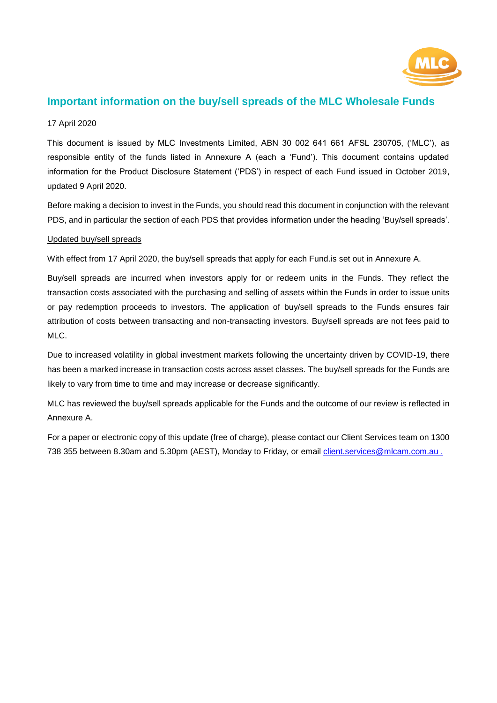

# **Important information on the buy/sell spreads of the MLC Wholesale Funds**

### 17 April 2020

This document is issued by MLC Investments Limited, ABN 30 002 641 661 AFSL 230705, ('MLC'), as responsible entity of the funds listed in Annexure A (each a 'Fund'). This document contains updated information for the Product Disclosure Statement ('PDS') in respect of each Fund issued in October 2019, updated 9 April 2020.

Before making a decision to invest in the Funds, you should read this document in conjunction with the relevant PDS, and in particular the section of each PDS that provides information under the heading 'Buy/sell spreads'.

#### Updated buy/sell spreads

With effect from 17 April 2020, the buy/sell spreads that apply for each Fund.is set out in Annexure A.

Buy/sell spreads are incurred when investors apply for or redeem units in the Funds. They reflect the transaction costs associated with the purchasing and selling of assets within the Funds in order to issue units or pay redemption proceeds to investors. The application of buy/sell spreads to the Funds ensures fair attribution of costs between transacting and non-transacting investors. Buy/sell spreads are not fees paid to MLC.

Due to increased volatility in global investment markets following the uncertainty driven by COVID-19, there has been a marked increase in transaction costs across asset classes. The buy/sell spreads for the Funds are likely to vary from time to time and may increase or decrease significantly.

MLC has reviewed the buy/sell spreads applicable for the Funds and the outcome of our review is reflected in Annexure A.

For a paper or electronic copy of this update (free of charge), please contact our Client Services team on 1300 738 355 between 8.30am and 5.30pm (AEST), Monday to Friday, or email [client.services@mlcam.com.au .](mailto:client.services@mlcam.com.au%20.)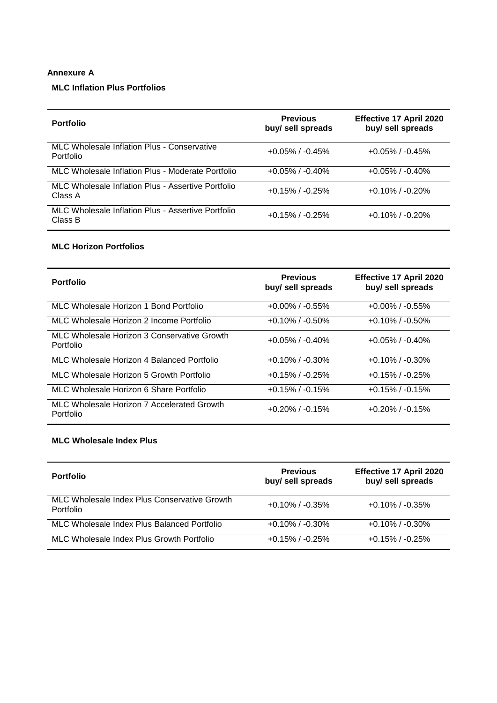## **Annexure A**

## **MLC Inflation Plus Portfolios**

| <b>Portfolio</b>                                              | <b>Previous</b><br>buy/ sell spreads | <b>Effective 17 April 2020</b><br>buy/ sell spreads |
|---------------------------------------------------------------|--------------------------------------|-----------------------------------------------------|
| MLC Wholesale Inflation Plus - Conservative<br>Portfolio      | $+0.05\%$ / -0.45%                   | $+0.05\%$ / $-0.45\%$                               |
| MLC Wholesale Inflation Plus - Moderate Portfolio             | $+0.05\%$ / $-0.40\%$                | $+0.05\%$ / $-0.40\%$                               |
| MLC Wholesale Inflation Plus - Assertive Portfolio<br>Class A | $+0.15\%$ / $-0.25\%$                | $+0.10\%$ / $-0.20\%$                               |
| MLC Wholesale Inflation Plus - Assertive Portfolio<br>Class B | $+0.15\%$ / $-0.25\%$                | $+0.10\%$ / $-0.20\%$                               |

### **MLC Horizon Portfolios**

| <b>Portfolio</b>                                         | <b>Previous</b><br>buy/ sell spreads | Effective 17 April 2020<br>buy/ sell spreads |
|----------------------------------------------------------|--------------------------------------|----------------------------------------------|
| MLC Wholesale Horizon 1 Bond Portfolio                   | $+0.00\%$ / $-0.55\%$                | $+0.00\%$ / $-0.55\%$                        |
| MLC Wholesale Horizon 2 Income Portfolio                 | $+0.10\%$ / $-0.50\%$                | $+0.10\%$ / $-0.50\%$                        |
| MLC Wholesale Horizon 3 Conservative Growth<br>Portfolio | $+0.05\%$ / -0.40%                   | $+0.05\%$ / -0.40%                           |
| MLC Wholesale Horizon 4 Balanced Portfolio               | $+0.10\%$ / $-0.30\%$                | $+0.10\%$ / $-0.30\%$                        |
| MLC Wholesale Horizon 5 Growth Portfolio                 | $+0.15\%$ / $-0.25\%$                | $+0.15\%$ / $-0.25\%$                        |
| MLC Wholesale Horizon 6 Share Portfolio                  | $+0.15\%$ / $-0.15\%$                | $+0.15\%$ / $-0.15\%$                        |
| MLC Wholesale Horizon 7 Accelerated Growth<br>Portfolio  | $+0.20\%$ / $-0.15\%$                | $+0.20\%$ / $-0.15\%$                        |

## **MLC Wholesale Index Plus**

| <b>Portfolio</b>                                          | <b>Previous</b><br>buy/ sell spreads | <b>Effective 17 April 2020</b><br>buy/ sell spreads |
|-----------------------------------------------------------|--------------------------------------|-----------------------------------------------------|
| MLC Wholesale Index Plus Conservative Growth<br>Portfolio | $+0.10\%$ / $-0.35\%$                | $+0.10\%$ / $-0.35\%$                               |
| MLC Wholesale Index Plus Balanced Portfolio               | $+0.10\%$ / $-0.30\%$                | $+0.10\%$ / $-0.30\%$                               |
| MLC Wholesale Index Plus Growth Portfolio                 | $+0.15\%$ / $-0.25\%$                | $+0.15\%$ / $-0.25\%$                               |